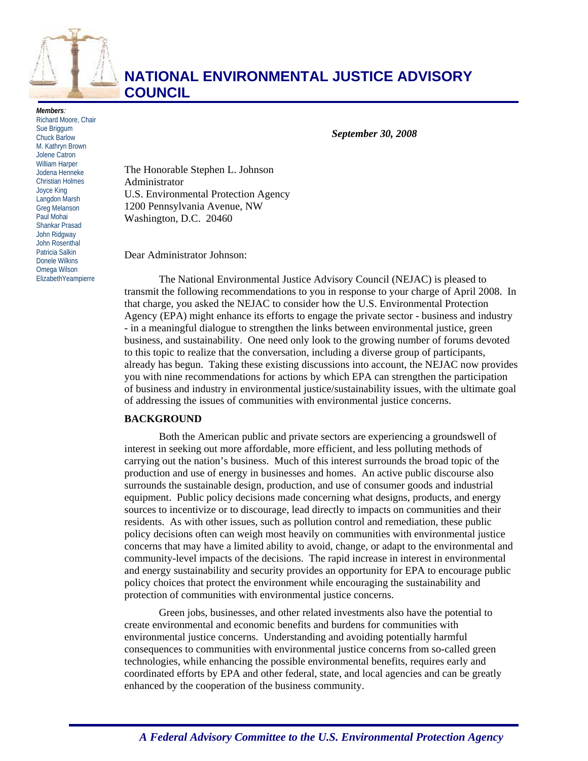

# **NATIONAL ENVIRONMENTAL JUSTICE ADVISORY COUNCIL**

*Members:*  Richard Moore, Chair Sue Briggum Chuck Barlow M. Kathryn Brown Jolene Catron William Harper Jodena Henneke Christian Holmes Joyce King Langdon Marsh Greg Melanson Paul Mohai Shankar Prasad John Ridgway John Rosenthal Patricia Salkin Donele Wilkins Omega Wilson ElizabethYeampierre

*September 30, 2008*

The Honorable Stephen L. Johnson Administrator U.S. Environmental Protection Agency 1200 Pennsylvania Avenue, NW Washington, D.C. 20460

Dear Administrator Johnson:

 The National Environmental Justice Advisory Council (NEJAC) is pleased to transmit the following recommendations to you in response to your charge of April 2008. In that charge, you asked the NEJAC to consider how the U.S. Environmental Protection Agency (EPA) might enhance its efforts to engage the private sector - business and industry - in a meaningful dialogue to strengthen the links between environmental justice, green business, and sustainability. One need only look to the growing number of forums devoted to this topic to realize that the conversation, including a diverse group of participants, already has begun. Taking these existing discussions into account, the NEJAC now provides you with nine recommendations for actions by which EPA can strengthen the participation of business and industry in environmental justice/sustainability issues, with the ultimate goal of addressing the issues of communities with environmental justice concerns.

#### **BACKGROUND**

 Both the American public and private sectors are experiencing a groundswell of interest in seeking out more affordable, more efficient, and less polluting methods of carrying out the nation's business. Much of this interest surrounds the broad topic of the production and use of energy in businesses and homes. An active public discourse also surrounds the sustainable design, production, and use of consumer goods and industrial equipment. Public policy decisions made concerning what designs, products, and energy sources to incentivize or to discourage, lead directly to impacts on communities and their residents. As with other issues, such as pollution control and remediation, these public policy decisions often can weigh most heavily on communities with environmental justice concerns that may have a limited ability to avoid, change, or adapt to the environmental and community-level impacts of the decisions. The rapid increase in interest in environmental and energy sustainability and security provides an opportunity for EPA to encourage public policy choices that protect the environment while encouraging the sustainability and protection of communities with environmental justice concerns.

 Green jobs, businesses, and other related investments also have the potential to create environmental and economic benefits and burdens for communities with environmental justice concerns. Understanding and avoiding potentially harmful consequences to communities with environmental justice concerns from so-called green technologies, while enhancing the possible environmental benefits, requires early and coordinated efforts by EPA and other federal, state, and local agencies and can be greatly enhanced by the cooperation of the business community.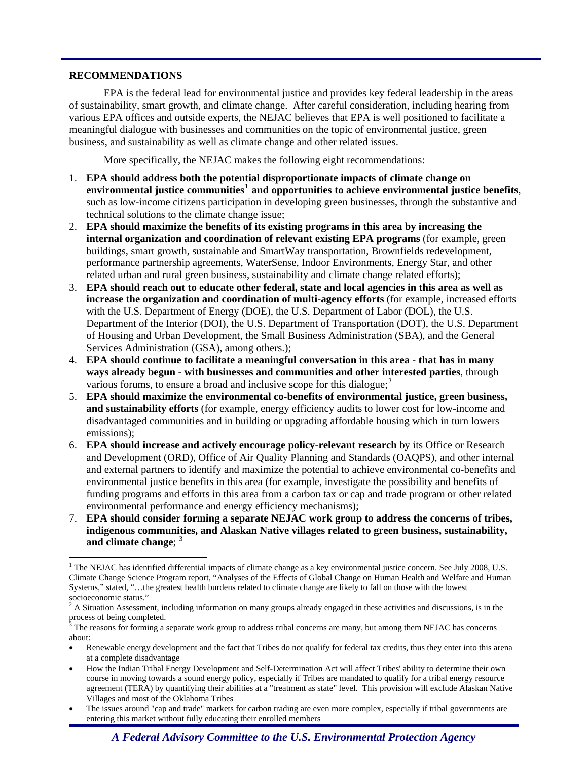#### **RECOMMENDATIONS**

 $\overline{a}$ 

 EPA is the federal lead for environmental justice and provides key federal leadership in the areas of sustainability, smart growth, and climate change. After careful consideration, including hearing from various EPA offices and outside experts, the NEJAC believes that EPA is well positioned to facilitate a meaningful dialogue with businesses and communities on the topic of environmental justice, green business, and sustainability as well as climate change and other related issues.

More specifically, the NEJAC makes the following eight recommendations:

- 1. **EPA should address both the potential disproportionate impacts of climate change on environmental justice communities[1](#page-1-0) and opportunities to achieve environmental justice benefits**, such as low-income citizens participation in developing green businesses, through the substantive and technical solutions to the climate change issue;
- 2. **EPA should maximize the benefits of its existing programs in this area by increasing the internal organization and coordination of relevant existing EPA programs** (for example, green buildings, smart growth, sustainable and SmartWay transportation, Brownfields redevelopment, performance partnership agreements, WaterSense, Indoor Environments, Energy Star, and other related urban and rural green business, sustainability and climate change related efforts);
- 3. **EPA should reach out to educate other federal, state and local agencies in this area as well as increase the organization and coordination of multi-agency efforts** (for example, increased efforts with the U.S. Department of Energy (DOE), the U.S. Department of Labor (DOL), the U.S. Department of the Interior (DOI), the U.S. Department of Transportation (DOT), the U.S. Department of Housing and Urban Development, the Small Business Administration (SBA), and the General Services Administration (GSA), among others.);
- 4. **EPA should continue to facilitate a meaningful conversation in this area that has in many ways already begun - with businesses and communities and other interested parties**, through various forums, to ensure a broad and inclusive scope for this dialogue; $<sup>2</sup>$  $<sup>2</sup>$  $<sup>2</sup>$ </sup>
- 5. **EPA should maximize the environmental co-benefits of environmental justice, green business, and sustainability efforts** (for example, energy efficiency audits to lower cost for low-income and disadvantaged communities and in building or upgrading affordable housing which in turn lowers emissions);
- 6. **EPA should increase and actively encourage policy-relevant research** by its Office or Research and Development (ORD), Office of Air Quality Planning and Standards (OAQPS), and other internal and external partners to identify and maximize the potential to achieve environmental co-benefits and environmental justice benefits in this area (for example, investigate the possibility and benefits of funding programs and efforts in this area from a carbon tax or cap and trade program or other related environmental performance and energy efficiency mechanisms);
- 7. **EPA should consider forming a separate NEJAC work group to address the concerns of tribes, indigenous communities, and Alaskan Native villages related to green business, sustainability,**  and climate change; <sup>[3](#page-1-2)</sup>

- Renewable energy development and the fact that Tribes do not qualify for federal tax credits, thus they enter into this arena at a complete disadvantage
- How the Indian Tribal Energy Development and Self-Determination Act will affect Tribes' ability to determine their own course in moving towards a sound energy policy, especially if Tribes are mandated to qualify for a tribal energy resource agreement (TERA) by quantifying their abilities at a "treatment as state" level. This provision will exclude Alaskan Native Villages and most of the Oklahoma Tribes
- The issues around "cap and trade" markets for carbon trading are even more complex, especially if tribal governments are entering this market without fully educating their enrolled members

<span id="page-1-0"></span> $1$  The NEJAC has identified differential impacts of climate change as a key environmental justice concern. See July 2008, U.S. Climate Change Science Program report, "Analyses of the Effects of Global Change on Human Health and Welfare and Human Systems," stated, "…the greatest health burdens related to climate change are likely to fall on those with the lowest socioeconomic status."

<span id="page-1-1"></span> $2^2$  A Situation Assessment, including information on many groups already engaged in these activities and discussions, is in the process of being completed.

<span id="page-1-2"></span>The reasons for forming a separate work group to address tribal concerns are many, but among them NEJAC has concerns about: